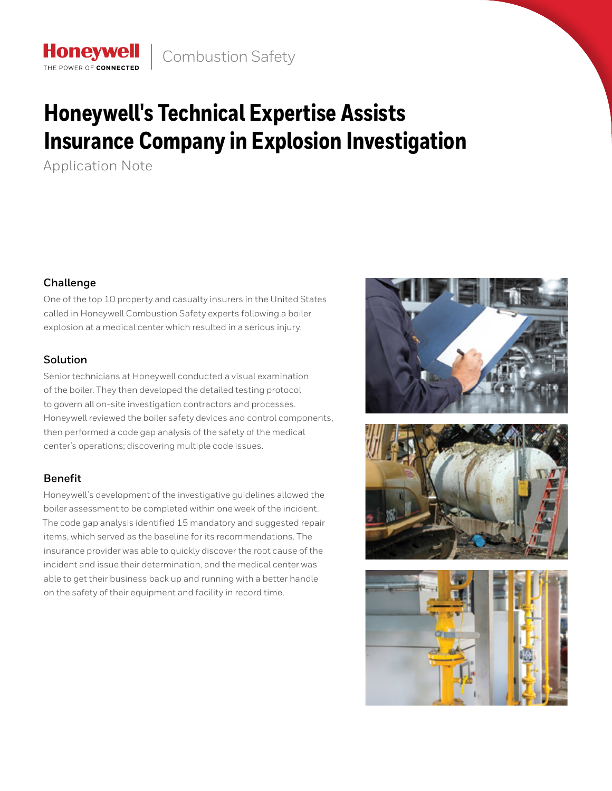# **Honeywell's Technical Expertise Assists Insurance Company in Explosion Investigation**

Application Note

**Honeywell** THE POWER OF CONNECTE

## **Challenge**

One of the top 10 property and casualty insurers in the United States called in Honeywell Combustion Safety experts following a boiler explosion at a medical center which resulted in a serious injury.

## **Solution**

Senior technicians at Honeywell conducted a visual examination of the boiler. They then developed the detailed testing protocol to govern all on-site investigation contractors and processes. Honeywell reviewed the boiler safety devices and control components, then performed a code gap analysis of the safety of the medical center's operations; discovering multiple code issues.

# **Benefit**

Honeywell's development of the investigative guidelines allowed the boiler assessment to be completed within one week of the incident. The code gap analysis identified 15 mandatory and suggested repair items, which served as the baseline for its recommendations. The insurance provider was able to quickly discover the root cause of the incident and issue their determination, and the medical center was able to get their business back up and running with a better handle on the safety of their equipment and facility in record time.